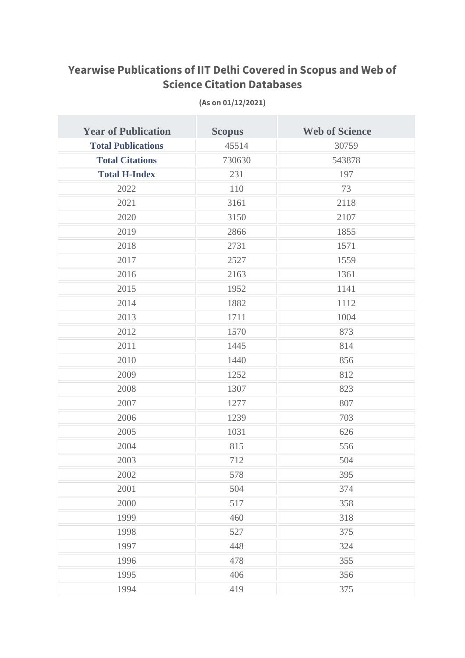## **Yearwise Publications of IIT Delhi Covered in Scopus and Web of Science Citation Databases**

| <b>Year of Publication</b> | <b>Scopus</b> | <b>Web of Science</b> |
|----------------------------|---------------|-----------------------|
| <b>Total Publications</b>  | 45514         | 30759                 |
| <b>Total Citations</b>     | 730630        | 543878                |
| <b>Total H-Index</b>       | 231           | 197                   |
| 2022                       | 110           | 73                    |
| 2021                       | 3161          | 2118                  |
| 2020                       | 3150          | 2107                  |
| 2019                       | 2866          | 1855                  |
| 2018                       | 2731          | 1571                  |
| 2017                       | 2527          | 1559                  |
| 2016                       | 2163          | 1361                  |
| 2015                       | 1952          | 1141                  |
| 2014                       | 1882          | 1112                  |
| 2013                       | 1711          | 1004                  |
| 2012                       | 1570          | 873                   |
| 2011                       | 1445          | 814                   |
| 2010                       | 1440          | 856                   |
| 2009                       | 1252          | 812                   |
| 2008                       | 1307          | 823                   |
| 2007                       | 1277          | 807                   |
| 2006                       | 1239          | 703                   |
| 2005                       | 1031          | 626                   |
| 2004                       | 815           | 556                   |
| 2003                       | 712           | 504                   |
| 2002                       | 578           | 395                   |
| 2001                       | 504           | 374                   |
| 2000                       | 517           | 358                   |
| 1999                       | 460           | 318                   |
| 1998                       | 527           | 375                   |
| 1997                       | 448           | 324                   |
| 1996                       | 478           | 355                   |
| 1995                       | 406           | 356                   |
| 1994                       | 419           | 375                   |

**(As on 01/12/2021)**